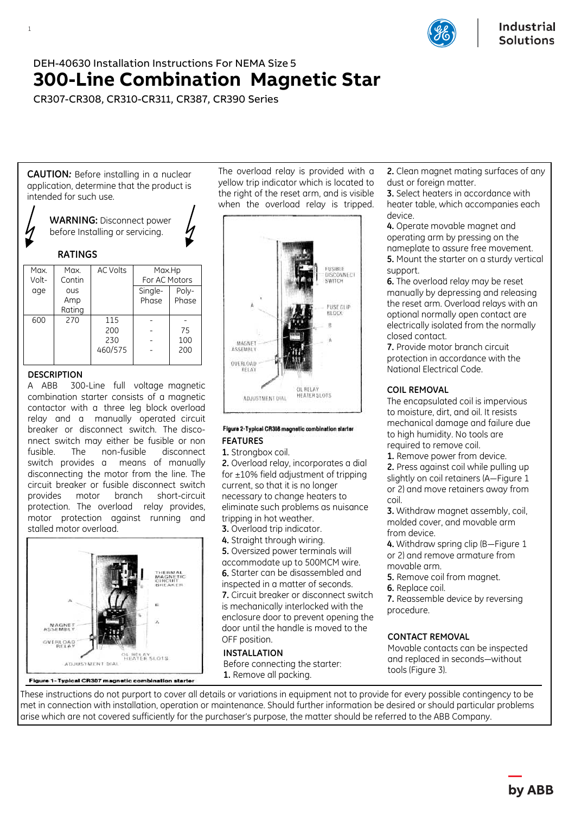

# DEH-40630 Installation Instructions For NEMA Size 5 **300-Line Combination Magnetic Star**

CR307-CR308, CR310-CR311, CR387, CR390 Series

**CAUTION***:* Before installing in a nuclear application, determine that the product is intended for such use.



| Max.  | Max.   | <b>AC Volts</b> | Max.Hp        |       |
|-------|--------|-----------------|---------------|-------|
| Volt- | Contin |                 | For AC Motors |       |
| age   | ous    |                 | Single-       | Poly- |
|       | Amp    |                 | Phase         | Phase |
|       | Rating |                 |               |       |
| 600   | 270    | 115             |               |       |
|       |        | 200             |               | 75    |
|       |        | 230             |               | 100   |
|       |        | 460/575         |               | 200   |
|       |        |                 |               |       |

## **DESCRIPTION**

A ABB 300-Line full voltage magnetic combination starter consists of a magnetic contactor with a three leg block overload relay and a manually operated circuit breaker or disconnect switch. The disconnect switch may either be fusible or non fusible. The non-fusible disconnect switch provides a means of manually disconnecting the motor from the line. The circuit breaker or fusible disconnect switch provides motor branch short-circuit protection. The overload relay provides, motor protection against running and stalled motor overload.



Figure 1-Typical CR307 magnetic combination starter

The overload relay is provided with a yellow trip indicator which is located to the right of the reset arm, and is visible when the overload relay is tripped.



#### Figure 2-Typical CR308 magnetic combination starter **FEATURES**

**1.** Strongbox coil.

 tripping in hot weather. **2.** Overload relay, incorporates a dial for  $\pm 10\%$  field adjustment of tripping current, so that it is no longer necessary to change heaters to eliminate such problems as nuisance

**3.** Overload trip indicator.

**4.** Straight through wiring. **5.** Oversized power terminals will accommodate up to 500MCM wire. **6.** Starter can be disassembled and inspected in a matter of seconds. **7.** Circuit breaker or disconnect switch is mechanically interlocked with the enclosure door to prevent opening the door until the handle is moved to the OFF position.

## **INSTALLATION**

Before connecting the starter: **1.** Remove all packing.

**2.** Clean magnet mating surfaces of any dust or foreign matter.

**3.** Select heaters in accordance with heater table, which accompanies each device.

**4.** Operate movable magnet and operating arm by pressing on the nameplate to assure free movement. **5.** Mount the starter on a sturdy vertical support.

**6.** The overload relay may be reset manually by depressing and releasing the reset arm. Overload relays with an optional normally open contact are electrically isolated from the normally closed contact.

**7.** Provide motor branch circuit protection in accordance with the National Electrical Code.

## **COIL REMOVAL**

The encapsulated coil is impervious to moisture, dirt, and oil. It resists mechanical damage and failure due to high humidity. No tools are required to remove coil.

**1.** Remove power from device.

**2.** Press against coil while pulling up slightly on coil retainers (A—Figure 1 or 2) and move retainers away from coil.

**3.** Withdraw magnet assembly, coil, molded cover, and movable arm from device.

**4.** Withdraw spring clip (B—Figure 1 or 2) and remove armature from movable arm.

- **5.** Remove coil from magnet.
- **6.** Replace coil.

**7.** Reassemble device by reversing procedure.

## **CONTACT REMOVAL**

Movable contacts can be inspected and replaced in seconds—without tools (Figure 3).

These instructions do not purport to cover all details or variations in equipment not to provide for every possible contingency to be met in connection with installation, operation or maintenance. Should further information be desired or should particular problems arise which are not covered sufficiently for the purchaser's purpose, the matter should be referred to the ABB Company.